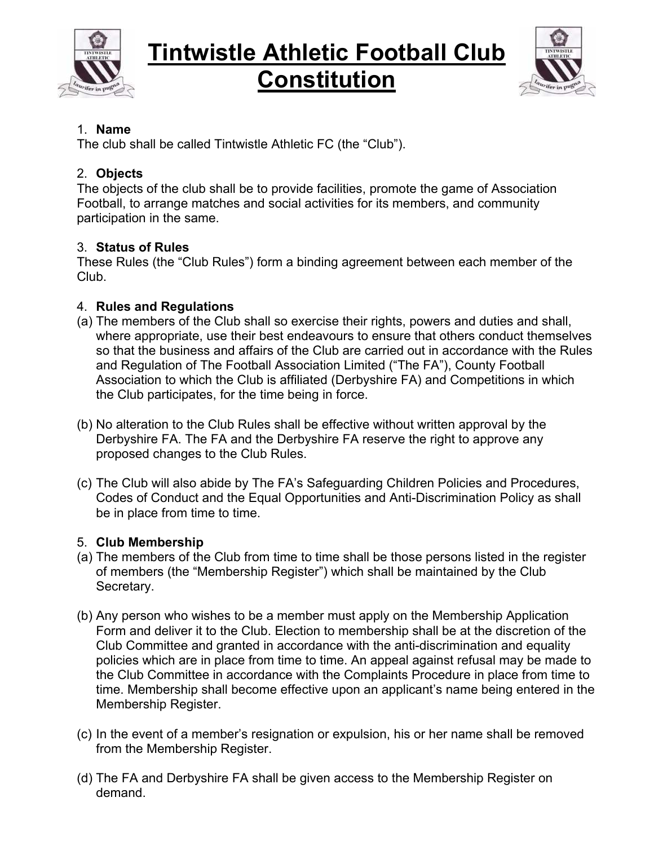

# **Tintwistle Athletic Football Club Constitution**



## 1. **Name**

The club shall be called Tintwistle Athletic FC (the "Club").

## 2. **Objects**

The objects of the club shall be to provide facilities, promote the game of Association Football, to arrange matches and social activities for its members, and community participation in the same.

## 3. **Status of Rules**

These Rules (the "Club Rules") form a binding agreement between each member of the Club.

## 4. **Rules and Regulations**

- (a) The members of the Club shall so exercise their rights, powers and duties and shall, where appropriate, use their best endeavours to ensure that others conduct themselves so that the business and affairs of the Club are carried out in accordance with the Rules and Regulation of The Football Association Limited ("The FA"), County Football Association to which the Club is affiliated (Derbyshire FA) and Competitions in which the Club participates, for the time being in force.
- (b) No alteration to the Club Rules shall be effective without written approval by the Derbyshire FA. The FA and the Derbyshire FA reserve the right to approve any proposed changes to the Club Rules.
- (c) The Club will also abide by The FA's Safeguarding Children Policies and Procedures, Codes of Conduct and the Equal Opportunities and Anti-Discrimination Policy as shall be in place from time to time.

# 5. **Club Membership**

- (a) The members of the Club from time to time shall be those persons listed in the register of members (the "Membership Register") which shall be maintained by the Club Secretary.
- (b) Any person who wishes to be a member must apply on the Membership Application Form and deliver it to the Club. Election to membership shall be at the discretion of the Club Committee and granted in accordance with the anti-discrimination and equality policies which are in place from time to time. An appeal against refusal may be made to the Club Committee in accordance with the Complaints Procedure in place from time to time. Membership shall become effective upon an applicant's name being entered in the Membership Register.
- (c) In the event of a member's resignation or expulsion, his or her name shall be removed from the Membership Register.
- (d) The FA and Derbyshire FA shall be given access to the Membership Register on demand.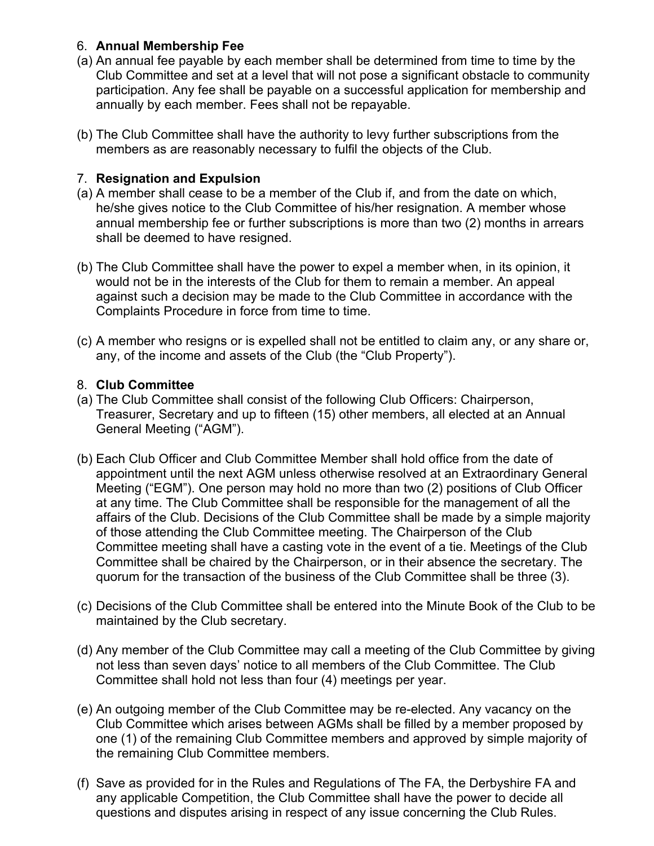### 6. **Annual Membership Fee**

- (a) An annual fee payable by each member shall be determined from time to time by the Club Committee and set at a level that will not pose a significant obstacle to community participation. Any fee shall be payable on a successful application for membership and annually by each member. Fees shall not be repayable.
- (b) The Club Committee shall have the authority to levy further subscriptions from the members as are reasonably necessary to fulfil the objects of the Club.

### 7. **Resignation and Expulsion**

- (a) A member shall cease to be a member of the Club if, and from the date on which, he/she gives notice to the Club Committee of his/her resignation. A member whose annual membership fee or further subscriptions is more than two (2) months in arrears shall be deemed to have resigned.
- (b) The Club Committee shall have the power to expel a member when, in its opinion, it would not be in the interests of the Club for them to remain a member. An appeal against such a decision may be made to the Club Committee in accordance with the Complaints Procedure in force from time to time.
- (c) A member who resigns or is expelled shall not be entitled to claim any, or any share or, any, of the income and assets of the Club (the "Club Property").

#### 8. **Club Committee**

- (a) The Club Committee shall consist of the following Club Officers: Chairperson, Treasurer, Secretary and up to fifteen (15) other members, all elected at an Annual General Meeting ("AGM").
- (b) Each Club Officer and Club Committee Member shall hold office from the date of appointment until the next AGM unless otherwise resolved at an Extraordinary General Meeting ("EGM"). One person may hold no more than two (2) positions of Club Officer at any time. The Club Committee shall be responsible for the management of all the affairs of the Club. Decisions of the Club Committee shall be made by a simple majority of those attending the Club Committee meeting. The Chairperson of the Club Committee meeting shall have a casting vote in the event of a tie. Meetings of the Club Committee shall be chaired by the Chairperson, or in their absence the secretary. The quorum for the transaction of the business of the Club Committee shall be three (3).
- (c) Decisions of the Club Committee shall be entered into the Minute Book of the Club to be maintained by the Club secretary.
- (d) Any member of the Club Committee may call a meeting of the Club Committee by giving not less than seven days' notice to all members of the Club Committee. The Club Committee shall hold not less than four (4) meetings per year.
- (e) An outgoing member of the Club Committee may be re-elected. Any vacancy on the Club Committee which arises between AGMs shall be filled by a member proposed by one (1) of the remaining Club Committee members and approved by simple majority of the remaining Club Committee members.
- (f) Save as provided for in the Rules and Regulations of The FA, the Derbyshire FA and any applicable Competition, the Club Committee shall have the power to decide all questions and disputes arising in respect of any issue concerning the Club Rules.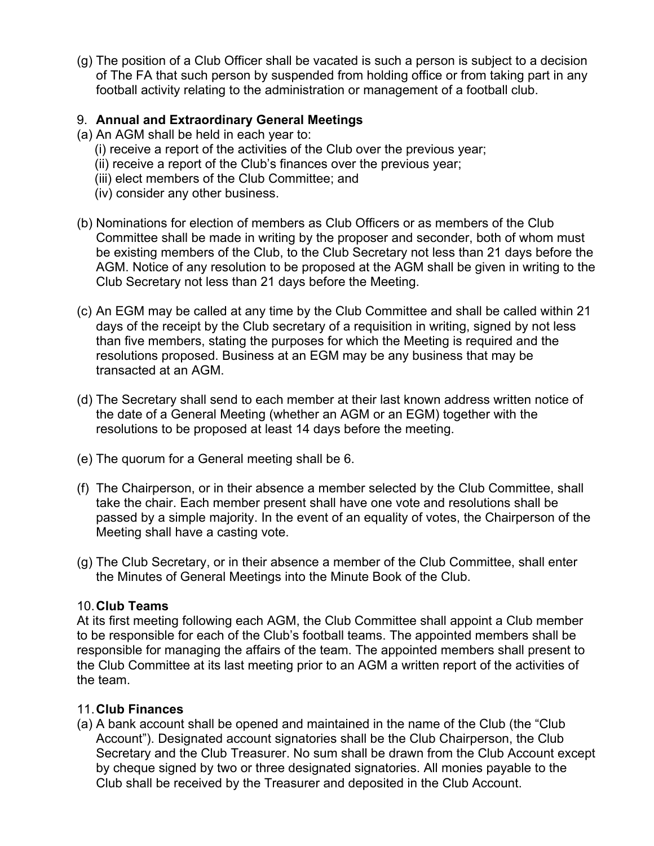(g) The position of a Club Officer shall be vacated is such a person is subject to a decision of The FA that such person by suspended from holding office or from taking part in any football activity relating to the administration or management of a football club.

## 9. **Annual and Extraordinary General Meetings**

- (a) An AGM shall be held in each year to:
	- (i) receive a report of the activities of the Club over the previous year;
	- (ii) receive a report of the Club's finances over the previous year;
	- (iii) elect members of the Club Committee; and
	- (iv) consider any other business.
- (b) Nominations for election of members as Club Officers or as members of the Club Committee shall be made in writing by the proposer and seconder, both of whom must be existing members of the Club, to the Club Secretary not less than 21 days before the AGM. Notice of any resolution to be proposed at the AGM shall be given in writing to the Club Secretary not less than 21 days before the Meeting.
- (c) An EGM may be called at any time by the Club Committee and shall be called within 21 days of the receipt by the Club secretary of a requisition in writing, signed by not less than five members, stating the purposes for which the Meeting is required and the resolutions proposed. Business at an EGM may be any business that may be transacted at an AGM.
- (d) The Secretary shall send to each member at their last known address written notice of the date of a General Meeting (whether an AGM or an EGM) together with the resolutions to be proposed at least 14 days before the meeting.
- (e) The quorum for a General meeting shall be 6.
- (f) The Chairperson, or in their absence a member selected by the Club Committee, shall take the chair. Each member present shall have one vote and resolutions shall be passed by a simple majority. In the event of an equality of votes, the Chairperson of the Meeting shall have a casting vote.
- (g) The Club Secretary, or in their absence a member of the Club Committee, shall enter the Minutes of General Meetings into the Minute Book of the Club.

#### 10.**Club Teams**

At its first meeting following each AGM, the Club Committee shall appoint a Club member to be responsible for each of the Club's football teams. The appointed members shall be responsible for managing the affairs of the team. The appointed members shall present to the Club Committee at its last meeting prior to an AGM a written report of the activities of the team.

#### 11.**Club Finances**

(a) A bank account shall be opened and maintained in the name of the Club (the "Club Account"). Designated account signatories shall be the Club Chairperson, the Club Secretary and the Club Treasurer. No sum shall be drawn from the Club Account except by cheque signed by two or three designated signatories. All monies payable to the Club shall be received by the Treasurer and deposited in the Club Account.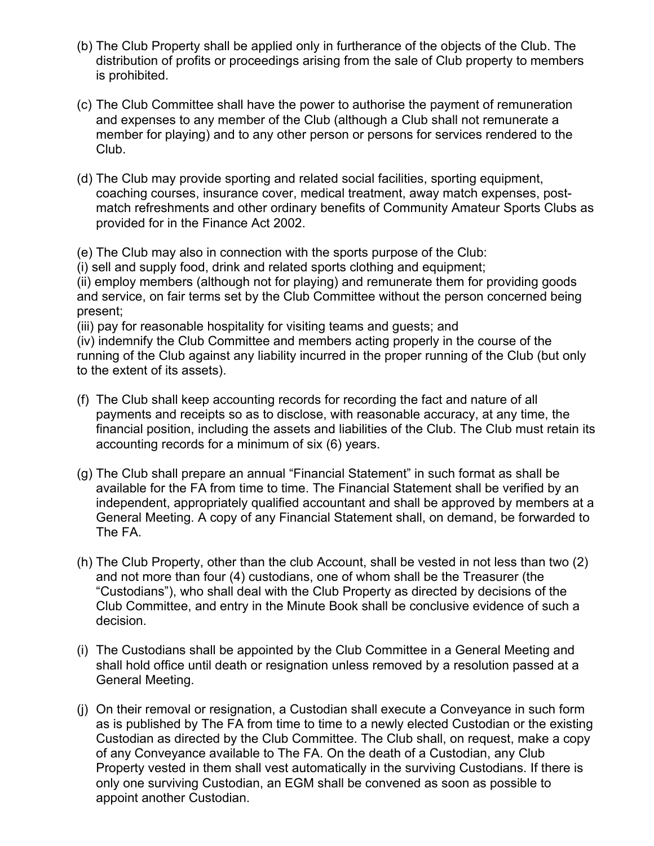- (b) The Club Property shall be applied only in furtherance of the objects of the Club. The distribution of profits or proceedings arising from the sale of Club property to members is prohibited.
- (c) The Club Committee shall have the power to authorise the payment of remuneration and expenses to any member of the Club (although a Club shall not remunerate a member for playing) and to any other person or persons for services rendered to the Club.
- (d) The Club may provide sporting and related social facilities, sporting equipment, coaching courses, insurance cover, medical treatment, away match expenses, postmatch refreshments and other ordinary benefits of Community Amateur Sports Clubs as provided for in the Finance Act 2002.

(e) The Club may also in connection with the sports purpose of the Club:

(i) sell and supply food, drink and related sports clothing and equipment;

(ii) employ members (although not for playing) and remunerate them for providing goods and service, on fair terms set by the Club Committee without the person concerned being present;

(iii) pay for reasonable hospitality for visiting teams and guests; and

(iv) indemnify the Club Committee and members acting properly in the course of the running of the Club against any liability incurred in the proper running of the Club (but only to the extent of its assets).

- (f) The Club shall keep accounting records for recording the fact and nature of all payments and receipts so as to disclose, with reasonable accuracy, at any time, the financial position, including the assets and liabilities of the Club. The Club must retain its accounting records for a minimum of six (6) years.
- (g) The Club shall prepare an annual "Financial Statement" in such format as shall be available for the FA from time to time. The Financial Statement shall be verified by an independent, appropriately qualified accountant and shall be approved by members at a General Meeting. A copy of any Financial Statement shall, on demand, be forwarded to The FA.
- (h) The Club Property, other than the club Account, shall be vested in not less than two (2) and not more than four (4) custodians, one of whom shall be the Treasurer (the "Custodians"), who shall deal with the Club Property as directed by decisions of the Club Committee, and entry in the Minute Book shall be conclusive evidence of such a decision.
- (i) The Custodians shall be appointed by the Club Committee in a General Meeting and shall hold office until death or resignation unless removed by a resolution passed at a General Meeting.
- (j) On their removal or resignation, a Custodian shall execute a Conveyance in such form as is published by The FA from time to time to a newly elected Custodian or the existing Custodian as directed by the Club Committee. The Club shall, on request, make a copy of any Conveyance available to The FA. On the death of a Custodian, any Club Property vested in them shall vest automatically in the surviving Custodians. If there is only one surviving Custodian, an EGM shall be convened as soon as possible to appoint another Custodian.